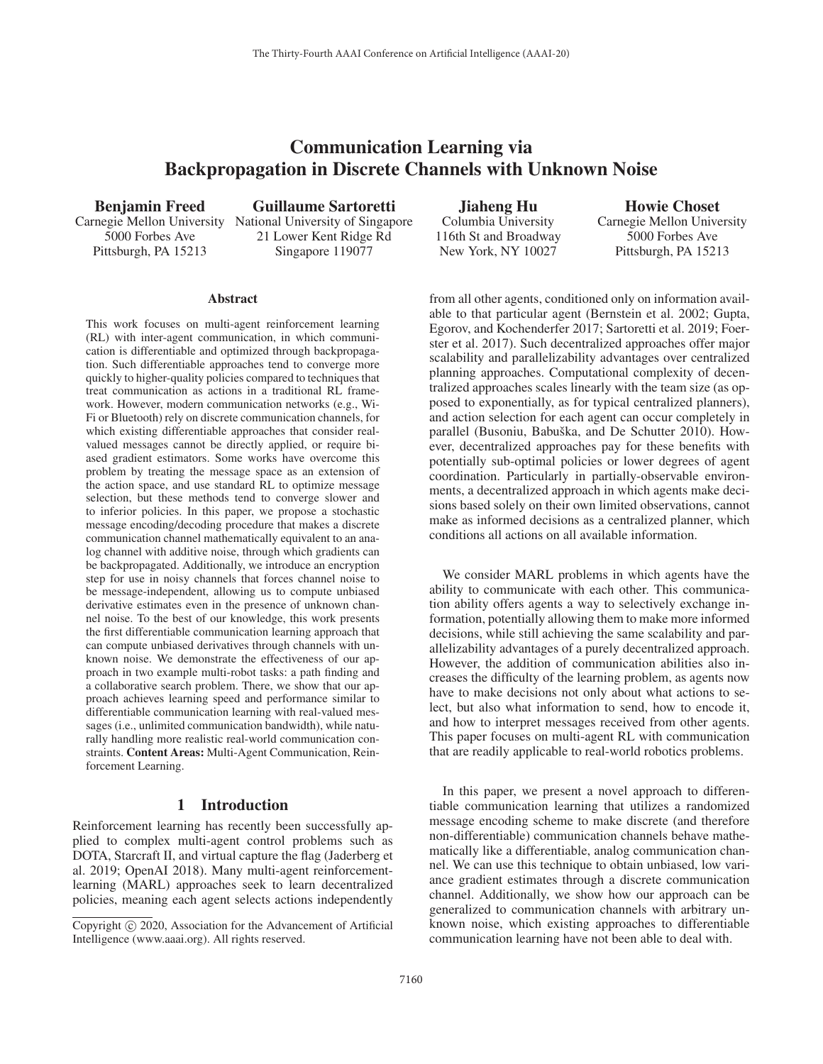# Communication Learning via Backpropagation in Discrete Channels with Unknown Noise

Benjamin Freed 5000 Forbes Ave Pittsburgh, PA 15213

Carnegie Mellon University National University of Singapore Guillaume Sartoretti 21 Lower Kent Ridge Rd Singapore 119077

Jiaheng Hu Columbia University 116th St and Broadway New York, NY 10027

Howie Choset Carnegie Mellon University 5000 Forbes Ave Pittsburgh, PA 15213

### **Abstract**

This work focuses on multi-agent reinforcement learning (RL) with inter-agent communication, in which communication is differentiable and optimized through backpropagation. Such differentiable approaches tend to converge more quickly to higher-quality policies compared to techniques that treat communication as actions in a traditional RL framework. However, modern communication networks (e.g., Wi-Fi or Bluetooth) rely on discrete communication channels, for which existing differentiable approaches that consider realvalued messages cannot be directly applied, or require biased gradient estimators. Some works have overcome this problem by treating the message space as an extension of the action space, and use standard RL to optimize message selection, but these methods tend to converge slower and to inferior policies. In this paper, we propose a stochastic message encoding/decoding procedure that makes a discrete communication channel mathematically equivalent to an analog channel with additive noise, through which gradients can be backpropagated. Additionally, we introduce an encryption step for use in noisy channels that forces channel noise to be message-independent, allowing us to compute unbiased derivative estimates even in the presence of unknown channel noise. To the best of our knowledge, this work presents the first differentiable communication learning approach that can compute unbiased derivatives through channels with unknown noise. We demonstrate the effectiveness of our approach in two example multi-robot tasks: a path finding and a collaborative search problem. There, we show that our approach achieves learning speed and performance similar to differentiable communication learning with real-valued messages (i.e., unlimited communication bandwidth), while naturally handling more realistic real-world communication constraints. Content Areas: Multi-Agent Communication, Reinforcement Learning.

# 1 Introduction

Reinforcement learning has recently been successfully applied to complex multi-agent control problems such as DOTA, Starcraft II, and virtual capture the flag (Jaderberg et al. 2019; OpenAI 2018). Many multi-agent reinforcementlearning (MARL) approaches seek to learn decentralized policies, meaning each agent selects actions independently

from all other agents, conditioned only on information available to that particular agent (Bernstein et al. 2002; Gupta, Egorov, and Kochenderfer 2017; Sartoretti et al. 2019; Foerster et al. 2017). Such decentralized approaches offer major scalability and parallelizability advantages over centralized planning approaches. Computational complexity of decentralized approaches scales linearly with the team size (as opposed to exponentially, as for typical centralized planners), and action selection for each agent can occur completely in parallel (Busoniu, Babuška, and De Schutter 2010). However, decentralized approaches pay for these benefits with potentially sub-optimal policies or lower degrees of agent coordination. Particularly in partially-observable environments, a decentralized approach in which agents make decisions based solely on their own limited observations, cannot make as informed decisions as a centralized planner, which conditions all actions on all available information.

We consider MARL problems in which agents have the ability to communicate with each other. This communication ability offers agents a way to selectively exchange information, potentially allowing them to make more informed decisions, while still achieving the same scalability and parallelizability advantages of a purely decentralized approach. However, the addition of communication abilities also increases the difficulty of the learning problem, as agents now have to make decisions not only about what actions to select, but also what information to send, how to encode it, and how to interpret messages received from other agents. This paper focuses on multi-agent RL with communication that are readily applicable to real-world robotics problems.

In this paper, we present a novel approach to differentiable communication learning that utilizes a randomized message encoding scheme to make discrete (and therefore non-differentiable) communication channels behave mathematically like a differentiable, analog communication channel. We can use this technique to obtain unbiased, low variance gradient estimates through a discrete communication channel. Additionally, we show how our approach can be generalized to communication channels with arbitrary unknown noise, which existing approaches to differentiable communication learning have not been able to deal with.

Copyright  $\odot$  2020, Association for the Advancement of Artificial Intelligence (www.aaai.org). All rights reserved.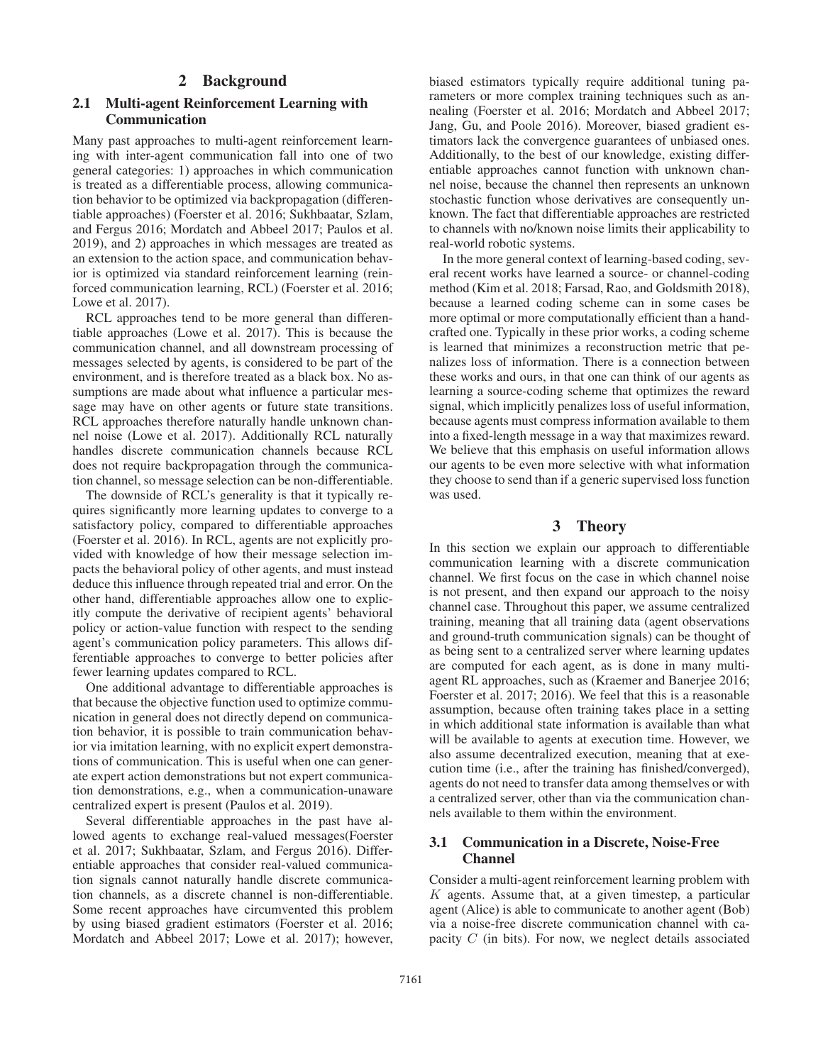# 2 Background

# 2.1 Multi-agent Reinforcement Learning with Communication

Many past approaches to multi-agent reinforcement learning with inter-agent communication fall into one of two general categories: 1) approaches in which communication is treated as a differentiable process, allowing communication behavior to be optimized via backpropagation (differentiable approaches) (Foerster et al. 2016; Sukhbaatar, Szlam, and Fergus 2016; Mordatch and Abbeel 2017; Paulos et al. 2019), and 2) approaches in which messages are treated as an extension to the action space, and communication behavior is optimized via standard reinforcement learning (reinforced communication learning, RCL) (Foerster et al. 2016; Lowe et al. 2017).

RCL approaches tend to be more general than differentiable approaches (Lowe et al. 2017). This is because the communication channel, and all downstream processing of messages selected by agents, is considered to be part of the environment, and is therefore treated as a black box. No assumptions are made about what influence a particular message may have on other agents or future state transitions. RCL approaches therefore naturally handle unknown channel noise (Lowe et al. 2017). Additionally RCL naturally handles discrete communication channels because RCL does not require backpropagation through the communication channel, so message selection can be non-differentiable.

The downside of RCL's generality is that it typically requires significantly more learning updates to converge to a satisfactory policy, compared to differentiable approaches (Foerster et al. 2016). In RCL, agents are not explicitly provided with knowledge of how their message selection impacts the behavioral policy of other agents, and must instead deduce this influence through repeated trial and error. On the other hand, differentiable approaches allow one to explicitly compute the derivative of recipient agents' behavioral policy or action-value function with respect to the sending agent's communication policy parameters. This allows differentiable approaches to converge to better policies after fewer learning updates compared to RCL.

One additional advantage to differentiable approaches is that because the objective function used to optimize communication in general does not directly depend on communication behavior, it is possible to train communication behavior via imitation learning, with no explicit expert demonstrations of communication. This is useful when one can generate expert action demonstrations but not expert communication demonstrations, e.g., when a communication-unaware centralized expert is present (Paulos et al. 2019).

Several differentiable approaches in the past have allowed agents to exchange real-valued messages(Foerster et al. 2017; Sukhbaatar, Szlam, and Fergus 2016). Differentiable approaches that consider real-valued communication signals cannot naturally handle discrete communication channels, as a discrete channel is non-differentiable. Some recent approaches have circumvented this problem by using biased gradient estimators (Foerster et al. 2016; Mordatch and Abbeel 2017; Lowe et al. 2017); however,

biased estimators typically require additional tuning parameters or more complex training techniques such as annealing (Foerster et al. 2016; Mordatch and Abbeel 2017; Jang, Gu, and Poole 2016). Moreover, biased gradient estimators lack the convergence guarantees of unbiased ones. Additionally, to the best of our knowledge, existing differentiable approaches cannot function with unknown channel noise, because the channel then represents an unknown stochastic function whose derivatives are consequently unknown. The fact that differentiable approaches are restricted to channels with no/known noise limits their applicability to real-world robotic systems.

In the more general context of learning-based coding, several recent works have learned a source- or channel-coding method (Kim et al. 2018; Farsad, Rao, and Goldsmith 2018), because a learned coding scheme can in some cases be more optimal or more computationally efficient than a handcrafted one. Typically in these prior works, a coding scheme is learned that minimizes a reconstruction metric that penalizes loss of information. There is a connection between these works and ours, in that one can think of our agents as learning a source-coding scheme that optimizes the reward signal, which implicitly penalizes loss of useful information, because agents must compress information available to them into a fixed-length message in a way that maximizes reward. We believe that this emphasis on useful information allows our agents to be even more selective with what information they choose to send than if a generic supervised loss function was used.

# 3 Theory

In this section we explain our approach to differentiable communication learning with a discrete communication channel. We first focus on the case in which channel noise is not present, and then expand our approach to the noisy channel case. Throughout this paper, we assume centralized training, meaning that all training data (agent observations and ground-truth communication signals) can be thought of as being sent to a centralized server where learning updates are computed for each agent, as is done in many multiagent RL approaches, such as (Kraemer and Banerjee 2016; Foerster et al. 2017; 2016). We feel that this is a reasonable assumption, because often training takes place in a setting in which additional state information is available than what will be available to agents at execution time. However, we also assume decentralized execution, meaning that at execution time (i.e., after the training has finished/converged), agents do not need to transfer data among themselves or with a centralized server, other than via the communication channels available to them within the environment.

# 3.1 Communication in a Discrete, Noise-Free Channel

Consider a multi-agent reinforcement learning problem with  $K$  agents. Assume that, at a given timestep, a particular agent (Alice) is able to communicate to another agent (Bob) via a noise-free discrete communication channel with capacity  $C$  (in bits). For now, we neglect details associated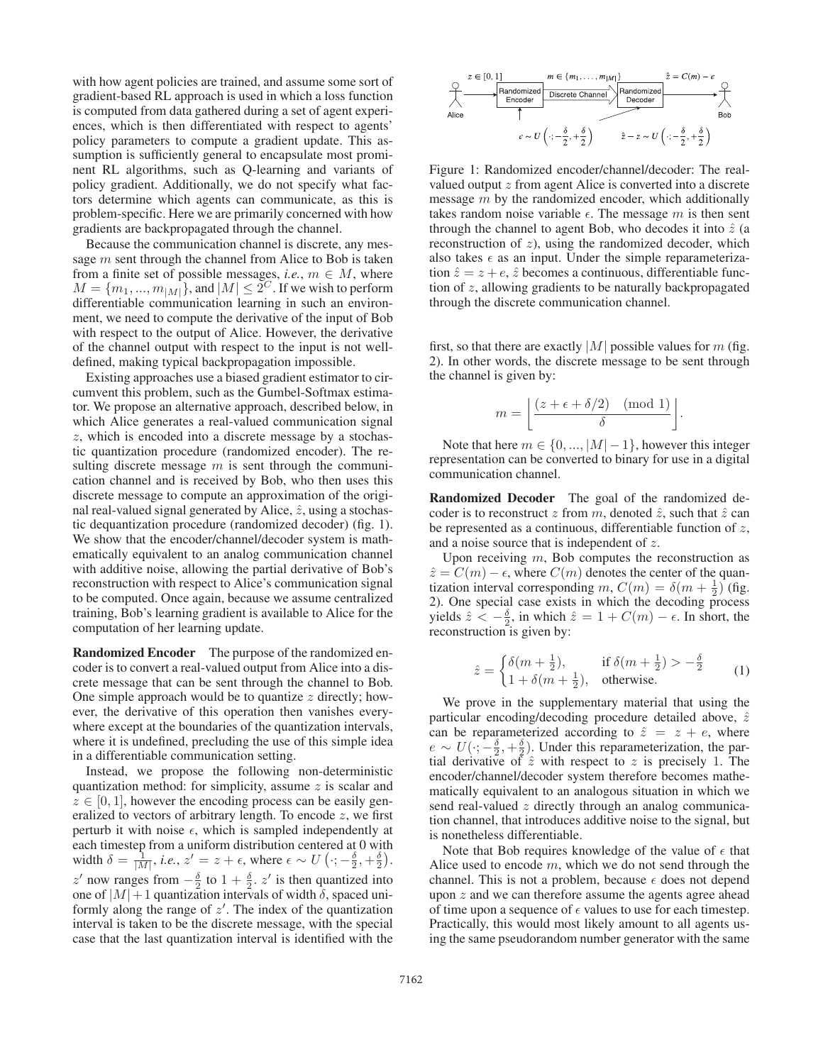with how agent policies are trained, and assume some sort of gradient-based RL approach is used in which a loss function is computed from data gathered during a set of agent experiences, which is then differentiated with respect to agents' policy parameters to compute a gradient update. This assumption is sufficiently general to encapsulate most prominent RL algorithms, such as Q-learning and variants of policy gradient. Additionally, we do not specify what factors determine which agents can communicate, as this is problem-specific. Here we are primarily concerned with how gradients are backpropagated through the channel.

Because the communication channel is discrete, any message m sent through the channel from Alice to Bob is taken from a finite set of possible messages, *i.e.*,  $m \in M$ , where  $M = \{m_1, ..., m_{|M|}\}\$ , and  $|M| \leq 2^C$ . If we wish to perform differentiable communication learning in such an environment, we need to compute the derivative of the input of Bob with respect to the output of Alice. However, the derivative of the channel output with respect to the input is not welldefined, making typical backpropagation impossible.

Existing approaches use a biased gradient estimator to circumvent this problem, such as the Gumbel-Softmax estimator. We propose an alternative approach, described below, in which Alice generates a real-valued communication signal z, which is encoded into a discrete message by a stochastic quantization procedure (randomized encoder). The resulting discrete message  $m$  is sent through the communication channel and is received by Bob, who then uses this discrete message to compute an approximation of the original real-valued signal generated by Alice,  $\hat{z}$ , using a stochastic dequantization procedure (randomized decoder) (fig. 1). We show that the encoder/channel/decoder system is mathematically equivalent to an analog communication channel with additive noise, allowing the partial derivative of Bob's reconstruction with respect to Alice's communication signal to be computed. Once again, because we assume centralized training, Bob's learning gradient is available to Alice for the computation of her learning update.

Randomized Encoder The purpose of the randomized encoder is to convert a real-valued output from Alice into a discrete message that can be sent through the channel to Bob. One simple approach would be to quantize  $z$  directly; however, the derivative of this operation then vanishes everywhere except at the boundaries of the quantization intervals, where it is undefined, precluding the use of this simple idea in a differentiable communication setting.

Instead, we propose the following non-deterministic quantization method: for simplicity, assume  $z$  is scalar and  $z \in [0, 1]$ , however the encoding process can be easily generalized to vectors of arbitrary length. To encode  $z$ , we first perturb it with noise  $\epsilon$ , which is sampled independently at each timestep from a uniform distribution centered at 0 with width  $\delta = \frac{1}{|M|}$ , *i.e.*,  $z' = z + \epsilon$ , where  $\epsilon \sim U(\cdot; -\frac{\delta}{2}, +\frac{\delta}{2})$ . z' now ranges from  $-\frac{\delta}{2}$  to  $1+\frac{\delta}{2}$ . z' is then quantized into one of  $|M|+1$  quantization intervals of width  $\delta$ , spaced uniformly along the range of  $z'$ . The index of the quantization interval is taken to be the discrete message, with the special case that the last quantization interval is identified with the



Figure 1: Randomized encoder/channel/decoder: The realvalued output z from agent Alice is converted into a discrete message m by the randomized encoder, which additionally takes random noise variable  $\epsilon$ . The message m is then sent through the channel to agent Bob, who decodes it into  $\hat{z}$  (a reconstruction of z), using the randomized decoder, which also takes  $\epsilon$  as an input. Under the simple reparameterization  $\hat{z} = z + e$ ,  $\hat{z}$  becomes a continuous, differentiable function of z, allowing gradients to be naturally backpropagated through the discrete communication channel.

first, so that there are exactly |M| possible values for m (fig. 2). In other words, the discrete message to be sent through the channel is given by:

$$
m = \left\lfloor \frac{(z + \epsilon + \delta/2) \pmod{1}}{\delta} \right\rfloor.
$$

Note that here  $m \in \{0, ..., |M|-1\}$ , however this integer representation can be converted to binary for use in a digital communication channel.

Randomized Decoder The goal of the randomized decoder is to reconstruct z from m, denoted  $\hat{z}$ , such that  $\hat{z}$  can be represented as a continuous, differentiable function of  $z$ , and a noise source that is independent of z.

Upon receiving  $m$ , Bob computes the reconstruction as  $\hat{z} = C(m) - \epsilon$ , where  $C(m)$  denotes the center of the quantization interval corresponding  $m$ ,  $C(m) = \delta(m + \frac{1}{2})$  (fig. 2). One special case exists in which the decoding process yields  $\hat{z} < -\frac{\delta}{2}$ , in which  $\hat{z} = 1 + C(m) - \epsilon$ . In short, the reconstruction is given by:

$$
\hat{z} = \begin{cases} \delta(m + \frac{1}{2}), & \text{if } \delta(m + \frac{1}{2}) > -\frac{\delta}{2} \\ 1 + \delta(m + \frac{1}{2}), & \text{otherwise.} \end{cases} \tag{1}
$$

We prove in the supplementary material that using the particular encoding/decoding procedure detailed above,  $\hat{z}$ can be reparameterized according to  $\hat{z} = z + e$ , where  $e \sim U(\cdot; -\frac{\delta}{2}, +\frac{\delta}{2})$ . Under this reparameterization, the partial derivative of  $\hat{z}$  with respect to z is precisely 1. The encoder/channel/decoder system therefore becomes mathematically equivalent to an analogous situation in which we send real-valued z directly through an analog communication channel, that introduces additive noise to the signal, but is nonetheless differentiable.

Note that Bob requires knowledge of the value of  $\epsilon$  that Alice used to encode  $m$ , which we do not send through the channel. This is not a problem, because  $\epsilon$  does not depend upon z and we can therefore assume the agents agree ahead of time upon a sequence of  $\epsilon$  values to use for each timestep. Practically, this would most likely amount to all agents using the same pseudorandom number generator with the same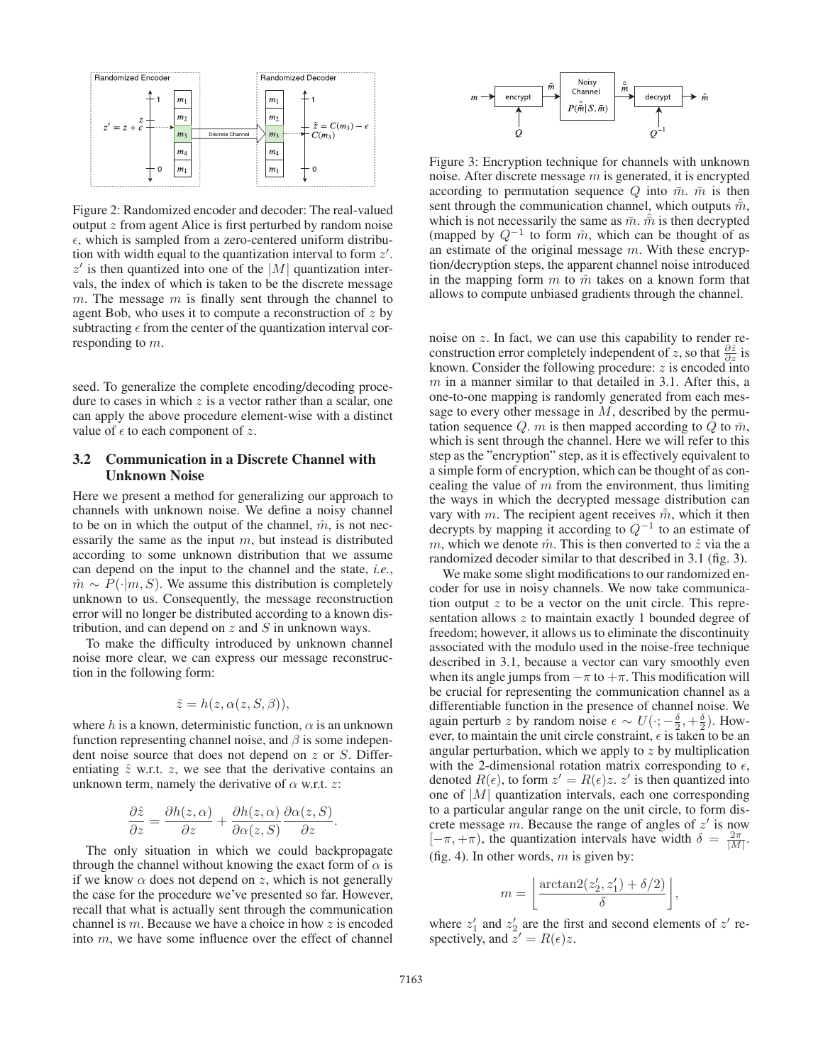

Figure 2: Randomized encoder and decoder: The real-valued output z from agent Alice is first perturbed by random noise  $\epsilon$ , which is sampled from a zero-centered uniform distribution with width equal to the quantization interval to form  $z'$ .  $z'$  is then quantized into one of the  $|M|$  quantization intervals, the index of which is taken to be the discrete message m. The message  $m$  is finally sent through the channel to agent Bob, who uses it to compute a reconstruction of  $z$  by subtracting  $\epsilon$  from the center of the quantization interval corresponding to m.

seed. To generalize the complete encoding/decoding procedure to cases in which  $z$  is a vector rather than a scalar, one can apply the above procedure element-wise with a distinct value of  $\epsilon$  to each component of z.

# 3.2 Communication in a Discrete Channel with Unknown Noise

Here we present a method for generalizing our approach to channels with unknown noise. We define a noisy channel to be on in which the output of the channel,  $\hat{m}$ , is not necessarily the same as the input  $m$ , but instead is distributed according to some unknown distribution that we assume can depend on the input to the channel and the state, *i.e.*,  $\hat{m} \sim P(\cdot | m, S)$ . We assume this distribution is completely unknown to us. Consequently, the message reconstruction error will no longer be distributed according to a known distribution, and can depend on  $z$  and  $S$  in unknown ways.

To make the difficulty introduced by unknown channel noise more clear, we can express our message reconstruction in the following form:

$$
\hat{z} = h(z, \alpha(z, S, \beta)),
$$

where h is a known, deterministic function,  $\alpha$  is an unknown function representing channel noise, and  $\beta$  is some independent noise source that does not depend on  $z$  or  $S$ . Differentiating  $\hat{z}$  w.r.t.  $z$ , we see that the derivative contains an unknown term, namely the derivative of  $\alpha$  w.r.t. z:

$$
\frac{\partial \hat{z}}{\partial z} = \frac{\partial h(z, \alpha)}{\partial z} + \frac{\partial h(z, \alpha)}{\partial \alpha(z, S)} \frac{\partial \alpha(z, S)}{\partial z}.
$$

The only situation in which we could backpropagate through the channel without knowing the exact form of  $\alpha$  is if we know  $\alpha$  does not depend on z, which is not generally the case for the procedure we've presented so far. However, recall that what is actually sent through the communication channel is  $m$ . Because we have a choice in how  $z$  is encoded into m, we have some influence over the effect of channel



Figure 3: Encryption technique for channels with unknown noise. After discrete message  $m$  is generated, it is encrypted according to permutation sequence  $Q$  into  $\bar{m}$ .  $\bar{m}$  is then sent through the communication channel, which outputs  $\hat{m}$ , which is not necessarily the same as  $\bar{m}$ .  $\hat{\bar{m}}$  is then decrypted (mapped by  $Q^{-1}$  to form  $\hat{m}$ , which can be thought of as an estimate of the original message  $m$ . With these encryption/decryption steps, the apparent channel noise introduced in the mapping form  $m$  to  $\hat{m}$  takes on a known form that allows to compute unbiased gradients through the channel.

noise on z. In fact, we can use this capability to render reconstruction error completely independent of z, so that  $\frac{\partial \hat{z}}{\partial z}$  is known. Consider the following procedure:  $z$  is encoded into  $m$  in a manner similar to that detailed in 3.1. After this, a one-to-one mapping is randomly generated from each message to every other message in  $M$ , described by the permutation sequence Q. m is then mapped according to Q to  $\bar{m}$ , which is sent through the channel. Here we will refer to this step as the "encryption" step, as it is effectively equivalent to a simple form of encryption, which can be thought of as concealing the value of  $m$  from the environment, thus limiting the ways in which the decrypted message distribution can vary with m. The recipient agent receives  $\hat{m}$ , which it then decrypts by mapping it according to  $Q^{-1}$  to an estimate of m, which we denote  $\hat{m}$ . This is then converted to  $\hat{z}$  via the a randomized decoder similar to that described in 3.1 (fig. 3).

We make some slight modifications to our randomized encoder for use in noisy channels. We now take communication output  $z$  to be a vector on the unit circle. This representation allows  $z$  to maintain exactly 1 bounded degree of freedom; however, it allows us to eliminate the discontinuity associated with the modulo used in the noise-free technique described in 3.1, because a vector can vary smoothly even when its angle jumps from  $-\pi$  to  $+\pi$ . This modification will be crucial for representing the communication channel as a differentiable function in the presence of channel noise. We again perturb z by random noise  $\epsilon \sim U(\cdot; -\frac{\delta}{2}, +\frac{\delta}{2})$ . However, to maintain the unit circle constraint,  $\epsilon$  is taken to be an angular perturbation, which we apply to  $z$  by multiplication with the 2-dimensional rotation matrix corresponding to  $\epsilon$ , denoted  $R(\epsilon)$ , to form  $z' = R(\epsilon)z$ .  $z'$  is then quantized into one of  $|M|$  quantization intervals, each one corresponding to a particular angular range on the unit circle, to form discrete message m. Because the range of angles of  $z'$  is now  $[-\pi, +\pi)$ , the quantization intervals have width  $\delta = \frac{2\pi}{|M|}$ . (fig. 4). In other words,  $m$  is given by:

$$
m = \left\lfloor \frac{\arctan 2(z'_2, z'_1) + \delta/2)}{\delta} \right\rfloor,
$$

where  $z'_1$  and  $z'_2$  are the first and second elements of  $z'$  respectively, and  $z' = R(\epsilon)z$ .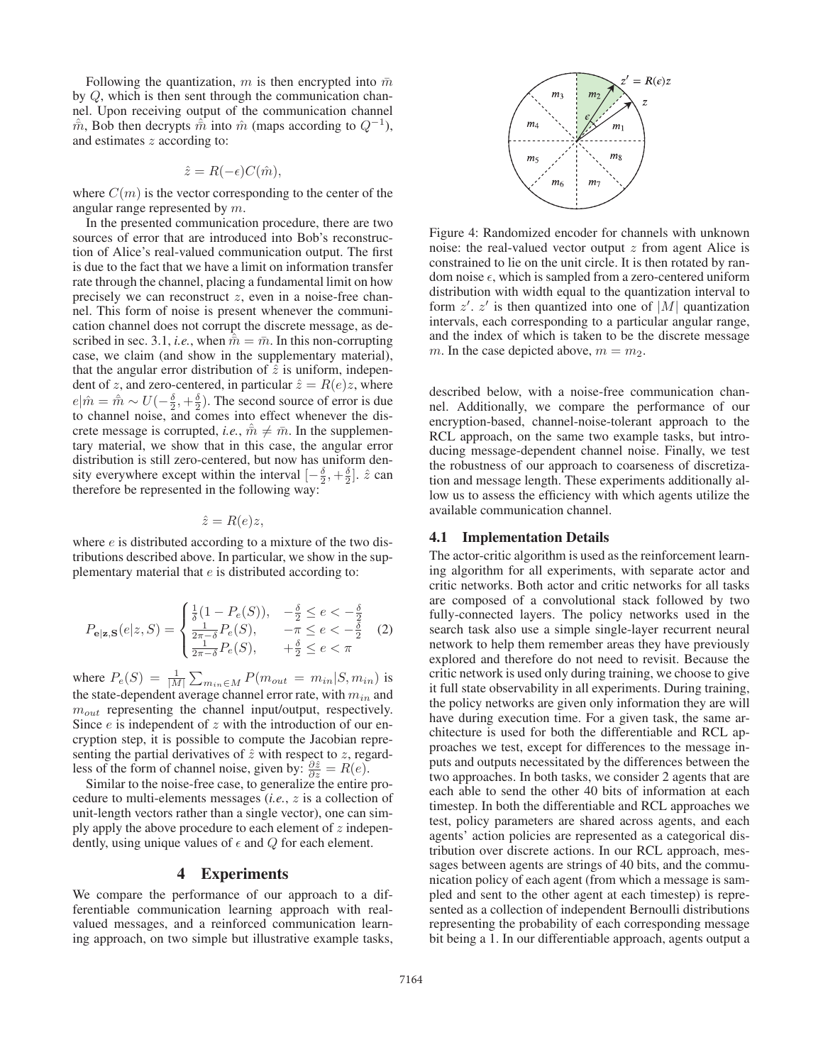Following the quantization, m is then encrypted into  $\bar{m}$ by Q, which is then sent through the communication channel. Upon receiving output of the communication channel  $\hat{m}$ , Bob then decrypts  $\hat{m}$  into  $\hat{m}$  (maps according to  $Q^{-1}$ ), and estimates z according to:

$$
\hat{z} = R(-\epsilon)C(\hat{m}),
$$

where  $C(m)$  is the vector corresponding to the center of the angular range represented by  $m$ .

In the presented communication procedure, there are two sources of error that are introduced into Bob's reconstruction of Alice's real-valued communication output. The first is due to the fact that we have a limit on information transfer rate through the channel, placing a fundamental limit on how precisely we can reconstruct z, even in a noise-free channel. This form of noise is present whenever the communication channel does not corrupt the discrete message, as described in sec. 3.1, *i.e.*, when  $\hat{m} = \bar{m}$ . In this non-corrupting case, we claim (and show in the supplementary material), that the angular error distribution of  $\hat{z}$  is uniform, independent of z, and zero-centered, in particular  $\hat{z} = R(e)z$ , where  $e|\hat{m} = \hat{m} \sim U(-\frac{\delta}{2}, +\frac{\delta}{2})$ . The second source of error is due to channel noise, and comes into effect whenever the discrete message is corrupted, *i.e.*,  $\hat{m} \neq \bar{m}$ . In the supplementary material, we show that in this case, the angular error distribution is still zero-centered, but now has uniform density everywhere except within the interval  $[-\frac{\delta}{2}, +\frac{\delta}{2}]$ .  $\hat{z}$  can therefore be represented in the following way:

 $\hat{z} = R(e)z$ ,

where  $e$  is distributed according to a mixture of the two distributions described above. In particular, we show in the supplementary material that  $e$  is distributed according to:

$$
P_{\mathbf{e}|\mathbf{z},\mathbf{S}}(e|z,S) = \begin{cases} \frac{1}{\delta}(1 - P_e(S)), & -\frac{\delta}{2} \le e < -\frac{\delta}{2} \\ \frac{1}{2\pi - \delta} P_e(S), & -\pi \le e < -\frac{\delta}{2} \\ \frac{1}{2\pi - \delta} P_e(S), & +\frac{\delta}{2} \le e < \pi \end{cases}
$$
(2)

where  $P_e(S) = \frac{1}{|M|} \sum_{m_{in} \in M} P(m_{out} = m_{in}|S, m_{in})$  is the state-dependent average channel error rate, with  $m_{in}$  and  $m_{out}$  representing the channel input/output, respectively. Since  $e$  is independent of  $z$  with the introduction of our encryption step, it is possible to compute the Jacobian representing the partial derivatives of  $\hat{z}$  with respect to  $z$ , regardless of the form of channel noise, given by:  $\frac{\partial \hat{z}}{\partial z} = R(e)$ .

Similar to the noise-free case, to generalize the entire procedure to multi-elements messages (*i.e.*, z is a collection of unit-length vectors rather than a single vector), one can simply apply the above procedure to each element of  $z$  independently, using unique values of  $\epsilon$  and  $Q$  for each element.

## 4 Experiments

We compare the performance of our approach to a differentiable communication learning approach with realvalued messages, and a reinforced communication learning approach, on two simple but illustrative example tasks,



Figure 4: Randomized encoder for channels with unknown noise: the real-valued vector output z from agent Alice is constrained to lie on the unit circle. It is then rotated by random noise  $\epsilon$ , which is sampled from a zero-centered uniform distribution with width equal to the quantization interval to form  $z'$ ,  $z'$  is then quantized into one of  $|M|$  quantization intervals, each corresponding to a particular angular range, and the index of which is taken to be the discrete message m. In the case depicted above,  $m = m<sub>2</sub>$ .

described below, with a noise-free communication channel. Additionally, we compare the performance of our encryption-based, channel-noise-tolerant approach to the RCL approach, on the same two example tasks, but introducing message-dependent channel noise. Finally, we test the robustness of our approach to coarseness of discretization and message length. These experiments additionally allow us to assess the efficiency with which agents utilize the available communication channel.

#### 4.1 Implementation Details

The actor-critic algorithm is used as the reinforcement learning algorithm for all experiments, with separate actor and critic networks. Both actor and critic networks for all tasks are composed of a convolutional stack followed by two fully-connected layers. The policy networks used in the search task also use a simple single-layer recurrent neural network to help them remember areas they have previously explored and therefore do not need to revisit. Because the critic network is used only during training, we choose to give it full state observability in all experiments. During training, the policy networks are given only information they are will have during execution time. For a given task, the same architecture is used for both the differentiable and RCL approaches we test, except for differences to the message inputs and outputs necessitated by the differences between the two approaches. In both tasks, we consider 2 agents that are each able to send the other 40 bits of information at each timestep. In both the differentiable and RCL approaches we test, policy parameters are shared across agents, and each agents' action policies are represented as a categorical distribution over discrete actions. In our RCL approach, messages between agents are strings of 40 bits, and the communication policy of each agent (from which a message is sampled and sent to the other agent at each timestep) is represented as a collection of independent Bernoulli distributions representing the probability of each corresponding message bit being a 1. In our differentiable approach, agents output a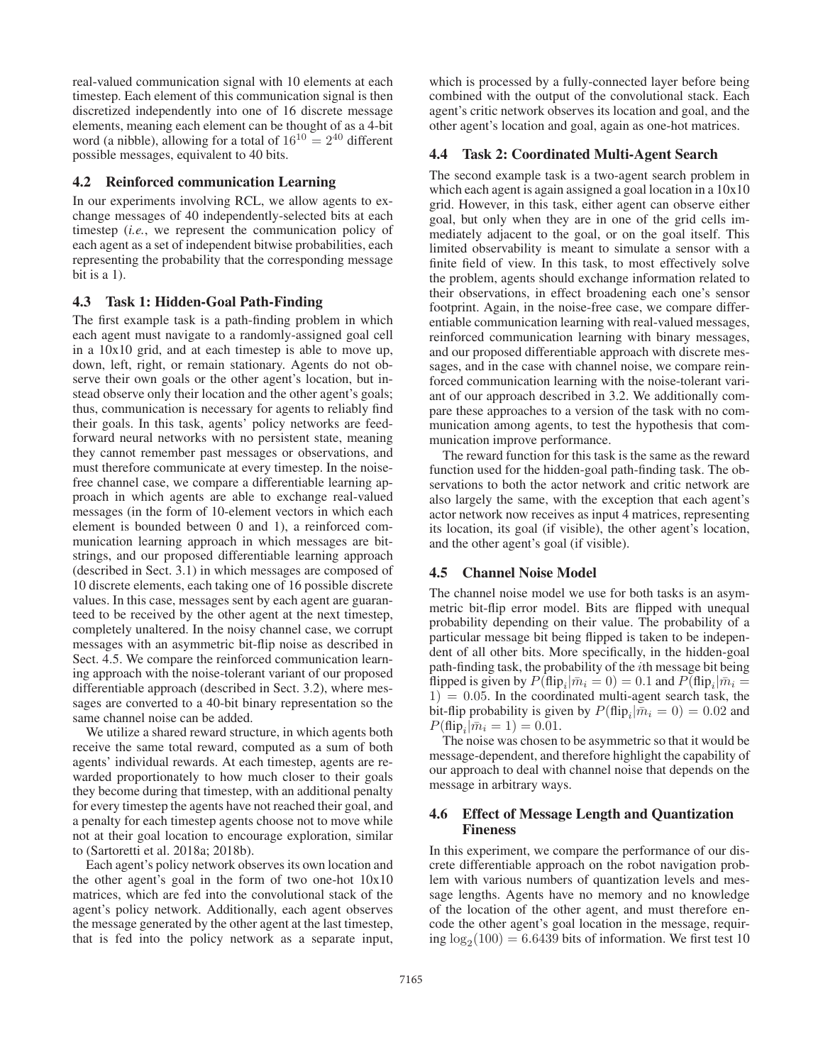real-valued communication signal with 10 elements at each timestep. Each element of this communication signal is then discretized independently into one of 16 discrete message elements, meaning each element can be thought of as a 4-bit word (a nibble), allowing for a total of  $16^{10} = 2^{40}$  different possible messages, equivalent to 40 bits.

## 4.2 Reinforced communication Learning

In our experiments involving RCL, we allow agents to exchange messages of 40 independently-selected bits at each timestep (*i.e.*, we represent the communication policy of each agent as a set of independent bitwise probabilities, each representing the probability that the corresponding message bit is a 1).

# 4.3 Task 1: Hidden-Goal Path-Finding

The first example task is a path-finding problem in which each agent must navigate to a randomly-assigned goal cell in a 10x10 grid, and at each timestep is able to move up, down, left, right, or remain stationary. Agents do not observe their own goals or the other agent's location, but instead observe only their location and the other agent's goals; thus, communication is necessary for agents to reliably find their goals. In this task, agents' policy networks are feedforward neural networks with no persistent state, meaning they cannot remember past messages or observations, and must therefore communicate at every timestep. In the noisefree channel case, we compare a differentiable learning approach in which agents are able to exchange real-valued messages (in the form of 10-element vectors in which each element is bounded between 0 and 1), a reinforced communication learning approach in which messages are bitstrings, and our proposed differentiable learning approach (described in Sect. 3.1) in which messages are composed of 10 discrete elements, each taking one of 16 possible discrete values. In this case, messages sent by each agent are guaranteed to be received by the other agent at the next timestep, completely unaltered. In the noisy channel case, we corrupt messages with an asymmetric bit-flip noise as described in Sect. 4.5. We compare the reinforced communication learning approach with the noise-tolerant variant of our proposed differentiable approach (described in Sect. 3.2), where messages are converted to a 40-bit binary representation so the same channel noise can be added.

We utilize a shared reward structure, in which agents both receive the same total reward, computed as a sum of both agents' individual rewards. At each timestep, agents are rewarded proportionately to how much closer to their goals they become during that timestep, with an additional penalty for every timestep the agents have not reached their goal, and a penalty for each timestep agents choose not to move while not at their goal location to encourage exploration, similar to (Sartoretti et al. 2018a; 2018b).

Each agent's policy network observes its own location and the other agent's goal in the form of two one-hot 10x10 matrices, which are fed into the convolutional stack of the agent's policy network. Additionally, each agent observes the message generated by the other agent at the last timestep, that is fed into the policy network as a separate input,

which is processed by a fully-connected layer before being combined with the output of the convolutional stack. Each agent's critic network observes its location and goal, and the other agent's location and goal, again as one-hot matrices.

### 4.4 Task 2: Coordinated Multi-Agent Search

The second example task is a two-agent search problem in which each agent is again assigned a goal location in a  $10x10$ grid. However, in this task, either agent can observe either goal, but only when they are in one of the grid cells immediately adjacent to the goal, or on the goal itself. This limited observability is meant to simulate a sensor with a finite field of view. In this task, to most effectively solve the problem, agents should exchange information related to their observations, in effect broadening each one's sensor footprint. Again, in the noise-free case, we compare differentiable communication learning with real-valued messages, reinforced communication learning with binary messages, and our proposed differentiable approach with discrete messages, and in the case with channel noise, we compare reinforced communication learning with the noise-tolerant variant of our approach described in 3.2. We additionally compare these approaches to a version of the task with no communication among agents, to test the hypothesis that communication improve performance.

The reward function for this task is the same as the reward function used for the hidden-goal path-finding task. The observations to both the actor network and critic network are also largely the same, with the exception that each agent's actor network now receives as input 4 matrices, representing its location, its goal (if visible), the other agent's location, and the other agent's goal (if visible).

### 4.5 Channel Noise Model

The channel noise model we use for both tasks is an asymmetric bit-flip error model. Bits are flipped with unequal probability depending on their value. The probability of a particular message bit being flipped is taken to be independent of all other bits. More specifically, in the hidden-goal path-finding task, the probability of the ith message bit being flipped is given by  $P(\text{flip}_i|\bar{m}_i = 0) = 0.1$  and  $P(\text{flip}_i|\bar{m}_i = 0)$  $1) = 0.05$ . In the coordinated multi-agent search task, the bit-flip probability is given by  $P(\text{flip}_i|\bar{m}_i = 0) = 0.02$  and  $P(\text{flip}_i|\bar{m}_i = 1) = 0.01.$ 

The noise was chosen to be asymmetric so that it would be message-dependent, and therefore highlight the capability of our approach to deal with channel noise that depends on the message in arbitrary ways.

## 4.6 Effect of Message Length and Quantization Fineness

In this experiment, we compare the performance of our discrete differentiable approach on the robot navigation problem with various numbers of quantization levels and message lengths. Agents have no memory and no knowledge of the location of the other agent, and must therefore encode the other agent's goal location in the message, requiring  $\log_2(100) = 6.6439$  bits of information. We first test 10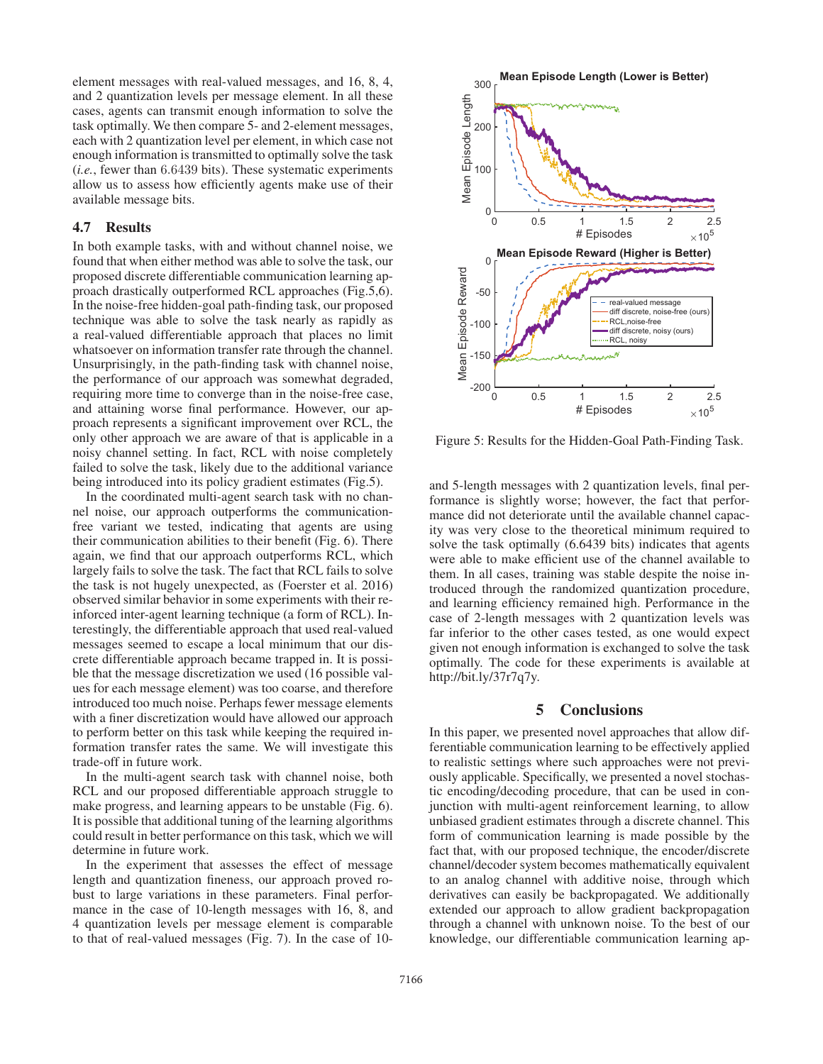element messages with real-valued messages, and 16, 8, 4, and 2 quantization levels per message element. In all these cases, agents can transmit enough information to solve the task optimally. We then compare 5- and 2-element messages, each with 2 quantization level per element, in which case not enough information is transmitted to optimally solve the task (*i.e.*, fewer than 6.6439 bits). These systematic experiments allow us to assess how efficiently agents make use of their available message bits.

#### 4.7 Results

In both example tasks, with and without channel noise, we found that when either method was able to solve the task, our proposed discrete differentiable communication learning approach drastically outperformed RCL approaches (Fig.5,6). In the noise-free hidden-goal path-finding task, our proposed technique was able to solve the task nearly as rapidly as a real-valued differentiable approach that places no limit whatsoever on information transfer rate through the channel. Unsurprisingly, in the path-finding task with channel noise, the performance of our approach was somewhat degraded, requiring more time to converge than in the noise-free case, and attaining worse final performance. However, our approach represents a significant improvement over RCL, the only other approach we are aware of that is applicable in a noisy channel setting. In fact, RCL with noise completely failed to solve the task, likely due to the additional variance being introduced into its policy gradient estimates (Fig.5).

In the coordinated multi-agent search task with no channel noise, our approach outperforms the communicationfree variant we tested, indicating that agents are using their communication abilities to their benefit (Fig. 6). There again, we find that our approach outperforms RCL, which largely fails to solve the task. The fact that RCL fails to solve the task is not hugely unexpected, as (Foerster et al. 2016) observed similar behavior in some experiments with their reinforced inter-agent learning technique (a form of RCL). Interestingly, the differentiable approach that used real-valued messages seemed to escape a local minimum that our discrete differentiable approach became trapped in. It is possible that the message discretization we used (16 possible values for each message element) was too coarse, and therefore introduced too much noise. Perhaps fewer message elements with a finer discretization would have allowed our approach to perform better on this task while keeping the required information transfer rates the same. We will investigate this trade-off in future work.

In the multi-agent search task with channel noise, both RCL and our proposed differentiable approach struggle to make progress, and learning appears to be unstable (Fig. 6). It is possible that additional tuning of the learning algorithms could result in better performance on this task, which we will determine in future work.

In the experiment that assesses the effect of message length and quantization fineness, our approach proved robust to large variations in these parameters. Final performance in the case of 10-length messages with 16, 8, and 4 quantization levels per message element is comparable to that of real-valued messages (Fig. 7). In the case of 10-



Figure 5: Results for the Hidden-Goal Path-Finding Task.

and 5-length messages with 2 quantization levels, final performance is slightly worse; however, the fact that performance did not deteriorate until the available channel capacity was very close to the theoretical minimum required to solve the task optimally (6.6439 bits) indicates that agents were able to make efficient use of the channel available to them. In all cases, training was stable despite the noise introduced through the randomized quantization procedure, and learning efficiency remained high. Performance in the case of 2-length messages with 2 quantization levels was far inferior to the other cases tested, as one would expect given not enough information is exchanged to solve the task optimally. The code for these experiments is available at http://bit.ly/37r7q7y.

# 5 Conclusions

In this paper, we presented novel approaches that allow differentiable communication learning to be effectively applied to realistic settings where such approaches were not previously applicable. Specifically, we presented a novel stochastic encoding/decoding procedure, that can be used in conjunction with multi-agent reinforcement learning, to allow unbiased gradient estimates through a discrete channel. This form of communication learning is made possible by the fact that, with our proposed technique, the encoder/discrete channel/decoder system becomes mathematically equivalent to an analog channel with additive noise, through which derivatives can easily be backpropagated. We additionally extended our approach to allow gradient backpropagation through a channel with unknown noise. To the best of our knowledge, our differentiable communication learning ap-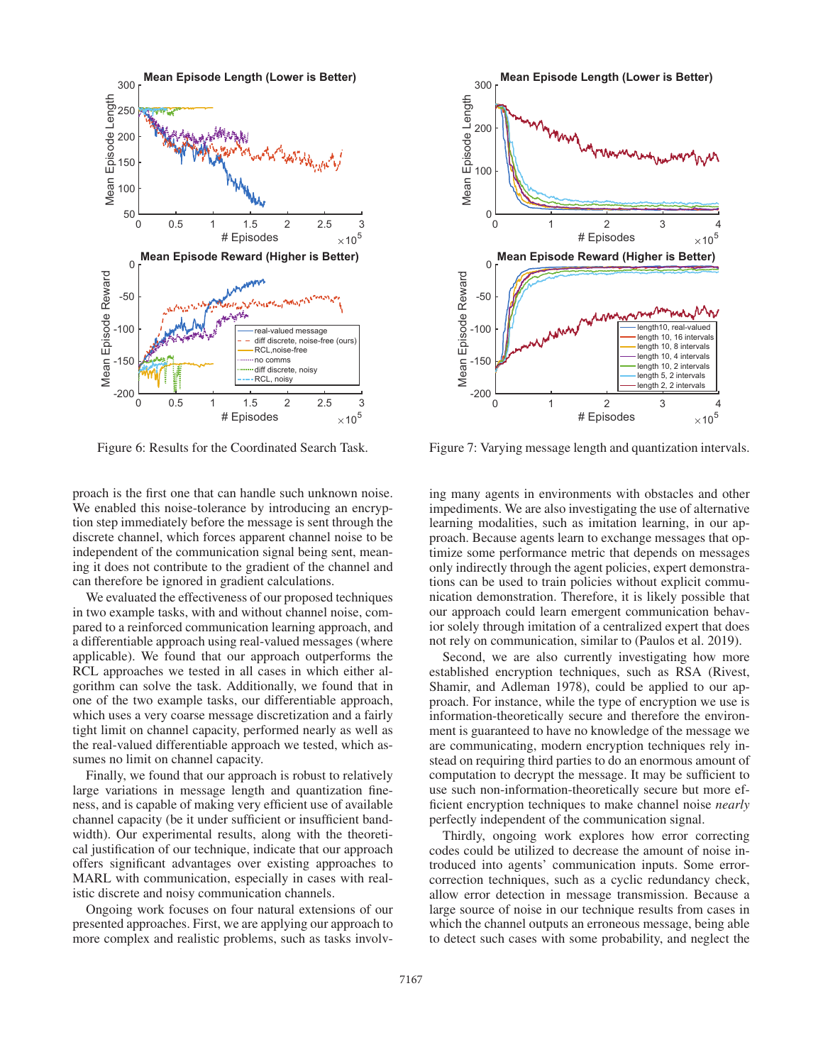

Figure 6: Results for the Coordinated Search Task.

proach is the first one that can handle such unknown noise. We enabled this noise-tolerance by introducing an encryption step immediately before the message is sent through the discrete channel, which forces apparent channel noise to be independent of the communication signal being sent, meaning it does not contribute to the gradient of the channel and can therefore be ignored in gradient calculations.

We evaluated the effectiveness of our proposed techniques in two example tasks, with and without channel noise, compared to a reinforced communication learning approach, and a differentiable approach using real-valued messages (where applicable). We found that our approach outperforms the RCL approaches we tested in all cases in which either algorithm can solve the task. Additionally, we found that in one of the two example tasks, our differentiable approach, which uses a very coarse message discretization and a fairly tight limit on channel capacity, performed nearly as well as the real-valued differentiable approach we tested, which assumes no limit on channel capacity.

Finally, we found that our approach is robust to relatively large variations in message length and quantization fineness, and is capable of making very efficient use of available channel capacity (be it under sufficient or insufficient bandwidth). Our experimental results, along with the theoretical justification of our technique, indicate that our approach offers significant advantages over existing approaches to MARL with communication, especially in cases with realistic discrete and noisy communication channels.

Ongoing work focuses on four natural extensions of our presented approaches. First, we are applying our approach to more complex and realistic problems, such as tasks involv-



Figure 7: Varying message length and quantization intervals.

ing many agents in environments with obstacles and other impediments. We are also investigating the use of alternative learning modalities, such as imitation learning, in our approach. Because agents learn to exchange messages that optimize some performance metric that depends on messages only indirectly through the agent policies, expert demonstrations can be used to train policies without explicit communication demonstration. Therefore, it is likely possible that our approach could learn emergent communication behavior solely through imitation of a centralized expert that does not rely on communication, similar to (Paulos et al. 2019).

Second, we are also currently investigating how more established encryption techniques, such as RSA (Rivest, Shamir, and Adleman 1978), could be applied to our approach. For instance, while the type of encryption we use is information-theoretically secure and therefore the environment is guaranteed to have no knowledge of the message we are communicating, modern encryption techniques rely instead on requiring third parties to do an enormous amount of computation to decrypt the message. It may be sufficient to use such non-information-theoretically secure but more efficient encryption techniques to make channel noise *nearly* perfectly independent of the communication signal.

Thirdly, ongoing work explores how error correcting codes could be utilized to decrease the amount of noise introduced into agents' communication inputs. Some errorcorrection techniques, such as a cyclic redundancy check, allow error detection in message transmission. Because a large source of noise in our technique results from cases in which the channel outputs an erroneous message, being able to detect such cases with some probability, and neglect the